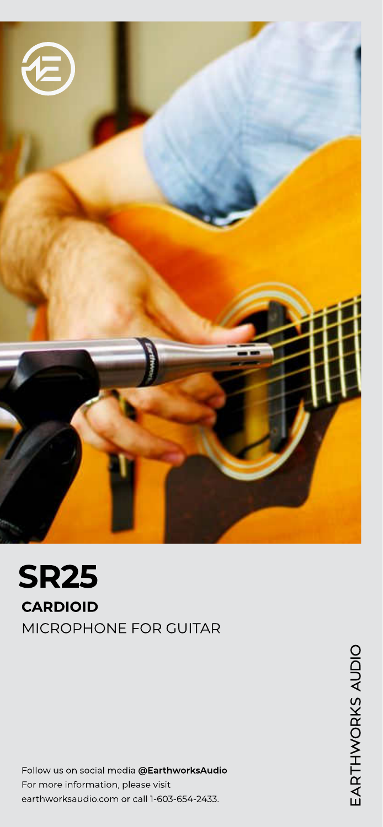

SR25 CARDIOID

MICROPHONE FOR GUITAR

Follow us on social media @EarthworksAudio For more information, please visit earthworksaudio.com or call 1-603-654-2433.

EARTHWORKS AUDIO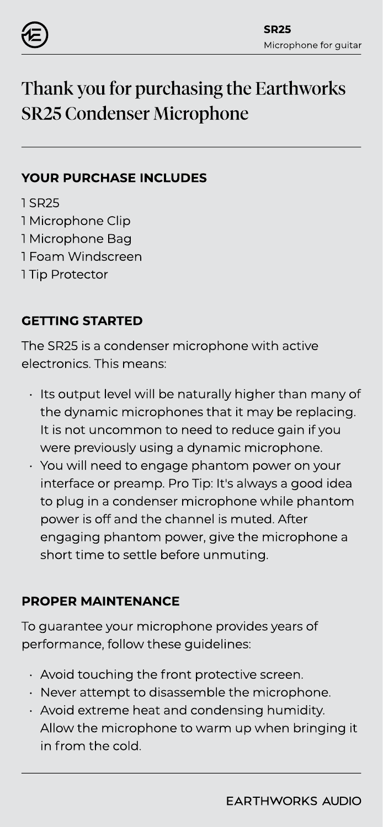

# Thank you for purchasing the Earthworks SR25 Condenser Microphone

## YOUR PURCHASE INCLUDES

1 SR25 1 Microphone Clip 1 Microphone Bag 1 Foam Windscreen 1 Tip Protector

# GETTING STARTED

The SR25 is a condenser microphone with active electronics. This means:

- Its output level will be naturally higher than many of the dynamic microphones that it may be replacing. It is not uncommon to need to reduce gain if you were previously using a dynamic microphone.
- You will need to engage phantom power on your interface or preamp. Pro Tip: It's always a good idea to plug in a condenser microphone while phantom power is off and the channel is muted. After engaging phantom power, give the microphone a short time to settle before unmuting.

# PROPER MAINTENANCE

To guarantee your microphone provides years of performance, follow these guidelines:

- $\cdot$  Avoid touching the front protective screen.
- Never attempt to disassemble the microphone.
- Avoid extreme heat and condensing humidity. Allow the microphone to warm up when bringing it in from the cold.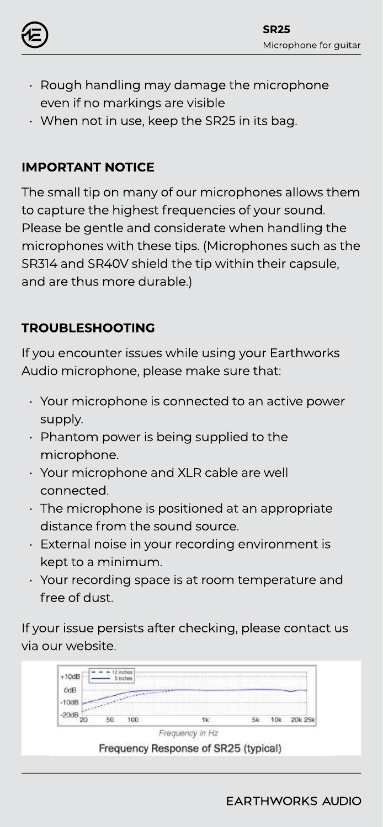

- Rough handling may damage the microphone even if no markings are visible
- When not in use, keep the SR25 in its bag.

# IMPORTANT NOTICE

The small tip on many of our microphones allows them to capture the highest frequencies of your sound. Please be gentle and considerate when handling the microphones with these tips. (Microphones such as the SR314 and SR40V shield the tip within their capsule, and are thus more durable.)

# TROUBLESHOOTING

If you encounter issues while using your Earthworks Audio microphone, please make sure that:

- Your microphone is connected to an active power supply.
- Phantom power is being supplied to the microphone.
- Your microphone and XLR cable are well connected.
- The microphone is positioned at an appropriate distance from the sound source.
- External noise in your recording environment is kept to a minimum.
- Your recording space is at room temperature and free of dust.

If your issue persists after checking, please contact us via our website.

| $+10dB$ | D Inches     |  |  |
|---------|--------------|--|--|
|         | うんじょう エンジンスト |  |  |
|         |              |  |  |
|         |              |  |  |

Frequency in Hz Frequency Response of SR25 (typical)